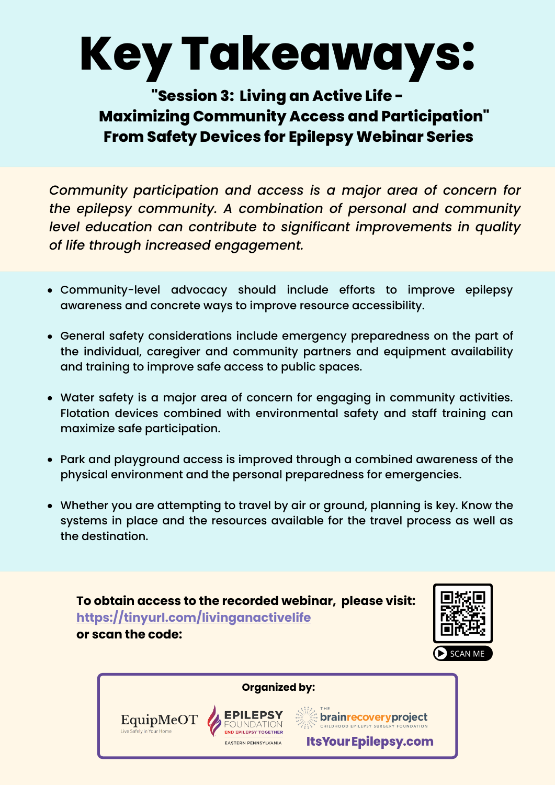## **Key Takeaways:**

## **"Session 3: Living an Active Life - Maximizing Community Access and Participation" From Safety Devices for Epilepsy Webinar Series**

*Community participation and access is a major area of concern for the epilepsy community. A combination of personal and community level education can contribute to significant improvements in quality of life through increased engagement.*

- Community-level advocacy should include efforts to improve epilepsy awareness and concrete ways to improve resource accessibility.
- General safety considerations include emergency preparedness on the part of the individual, caregiver and community partners and equipment availability and training to improve safe access to public spaces.
- Water safety is a major area of concern for engaging in community activities. Flotation devices combined with environmental safety and staff training can maximize safe participation.
- Park and playground access is improved through a combined awareness of the physical environment and the personal preparedness for emergencies.
- Whether you are attempting to travel by air or ground, planning is key. Know the systems in place and the resources available for the travel process as well as the destination.

**To obtain access to the recorded webinar, please visit: <https://tinyurl.com/livinganactivelife> or scan the code:**

EquipMeOT



**Organized by:**

**D EPILEPSY TOGETHER** 

**ASTERN PENNSYLVANIA** 

**Example Covery project** 

**Its Your Epilepsy.com**